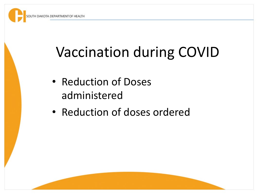# Vaccination during COVID

- Reduction of Doses administered
- Reduction of doses ordered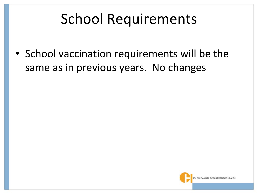### School Requirements

• School vaccination requirements will be the same as in previous years. No changes

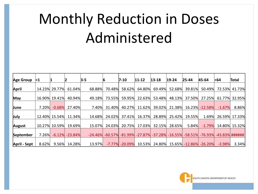# Monthly Reduction in Doses Administered

| Age Group    | $\leq 1$ |                  |           | $3 - 5$ | 16     | $7 - 10$             | $11 - 12$ | $13 - 18$                                              | $19 - 24$ | $25 - 44$                            | 45-64          | >64      | Total             |
|--------------|----------|------------------|-----------|---------|--------|----------------------|-----------|--------------------------------------------------------|-----------|--------------------------------------|----------------|----------|-------------------|
| April        |          | 14.23% 29.77%    | 61.04%    | 68.88%  | 70.48% | 58.62%               | 64.80%    | 69.49%                                                 | 52.68%    | 39.81%                               | 50.49%         |          | 72.53% 41.73%     |
| <b>May</b>   |          | 16.90% 19.41%    | 40.94%    | 49.18%  | 73.55% | 59.95%               | 22.63%    | 53.48%                                                 | 48.13%    | 37.50%                               | 27.25%         |          | 61.77% 32.95%     |
| June         | 7.20%    | $-0.68%$         | 27.40%    | 7.40%   | 31.40% | 40.27%               | 11.62%    | 39.02%                                                 | 21.38%    |                                      | 16.23% -12.58% | $-1.67%$ | 8.86%             |
| July         |          | 12.40% 15.54%    | 11.34%    | 14.68%  | 24.02% | 37.41%               | 16.37%    | 28.89%                                                 | 25.42%    | 19.55%                               | 1.69%          | 26.59%   | 17.33%            |
|              |          | 10.27% 10.59%    | 19.69%    | 15.07%  | 24.03% | 20.75%               | 17.03%    | 32.15%                                                 | 28.65%    | 5.84%                                | $-1.79%$       |          | 14.80% 15.32%     |
| August       |          |                  |           |         |        |                      |           |                                                        |           |                                      |                |          |                   |
| September    |          | $7.26\% -6.12\%$ | $-23.84%$ |         |        |                      |           | $-24.46\%$ $-60.57\%$ $-81.99\%$ $-27.87\%$ $-37.28\%$ |           | $-16.55\% - 58.51\%$                 | $-76.93%$      |          | $-43.83\%$ ###### |
| April - Sept | 8.62%    | 9.56%            | 14.28%    | 13.97%  |        | $-7.77\%$ $-20.09\%$ |           |                                                        |           | 10.53% 24.80% 15.65% -12.86% -26.20% |                | $-3.98%$ | 3.34%             |

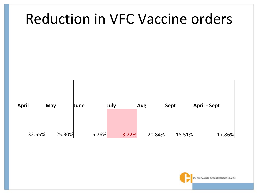#### Reduction in VFC Vaccine orders

| April  | <b>May</b> | June   | July     | Aug    | Sept   | <b>April - Sept</b> |
|--------|------------|--------|----------|--------|--------|---------------------|
| 32.55% | 25.30%     | 15.76% | $-3.22%$ | 20.84% | 18.51% | 17.86%              |

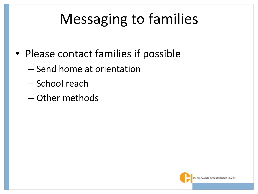### Messaging to families

- Please contact families if possible
	- Send home at orientation
	- School reach
	- Other methods